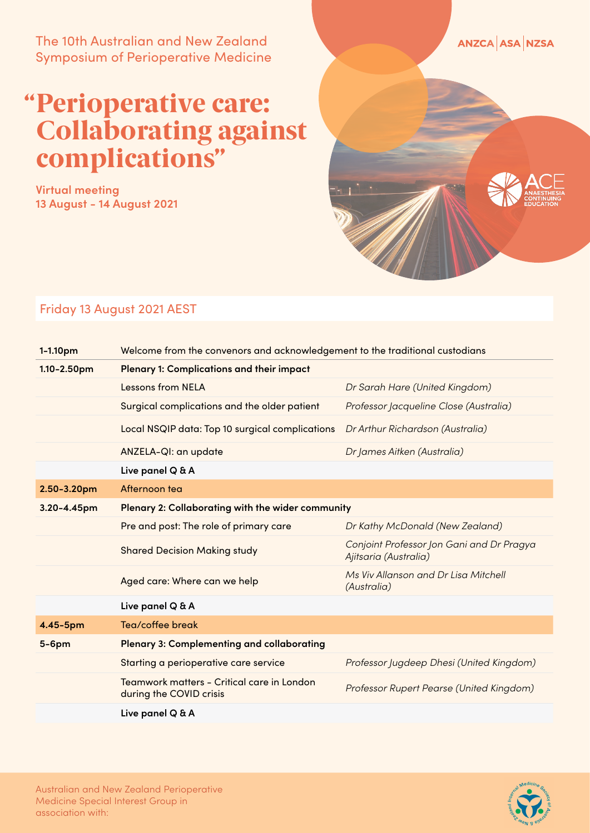The 10th Australian and New Zealand Symposium of Perioperative Medicine

## Perioperative care: " Collaborating against complications"

**Virtual meeting 13 August - 14 August 2021**



## Friday 13 August 2021 AEST

| 1-1.10pm    | Welcome from the convenors and acknowledgement to the traditional custodians |                                                                    |  |
|-------------|------------------------------------------------------------------------------|--------------------------------------------------------------------|--|
| 1.10-2.50pm | <b>Plenary 1: Complications and their impact</b>                             |                                                                    |  |
|             | <b>Lessons from NELA</b>                                                     | Dr Sarah Hare (United Kingdom)                                     |  |
|             | Surgical complications and the older patient                                 | Professor Jacqueline Close (Australia)                             |  |
|             | Local NSQIP data: Top 10 surgical complications                              | Dr Arthur Richardson (Australia)                                   |  |
|             | ANZELA-QI: an update                                                         | Dr James Aitken (Australia)                                        |  |
|             | Live panel Q & A                                                             |                                                                    |  |
| 2.50-3.20pm | Afternoon tea                                                                |                                                                    |  |
| 3.20-4.45pm | Plenary 2: Collaborating with the wider community                            |                                                                    |  |
|             | Pre and post: The role of primary care                                       | Dr Kathy McDonald (New Zealand)                                    |  |
|             | <b>Shared Decision Making study</b>                                          | Conjoint Professor Jon Gani and Dr Pragya<br>Ajitsaria (Australia) |  |
|             | Aged care: Where can we help                                                 | Ms Viv Allanson and Dr Lisa Mitchell<br>(Australia)                |  |
|             | Live panel Q & A                                                             |                                                                    |  |
| 4.45-5pm    | Tea/coffee break                                                             |                                                                    |  |
| $5-6$ pm    | <b>Plenary 3: Complementing and collaborating</b>                            |                                                                    |  |
|             | Starting a perioperative care service                                        | Professor Jugdeep Dhesi (United Kingdom)                           |  |
|             | Teamwork matters - Critical care in London<br>during the COVID crisis        | Professor Rupert Pearse (United Kingdom)                           |  |
|             | Live panel Q & A                                                             |                                                                    |  |